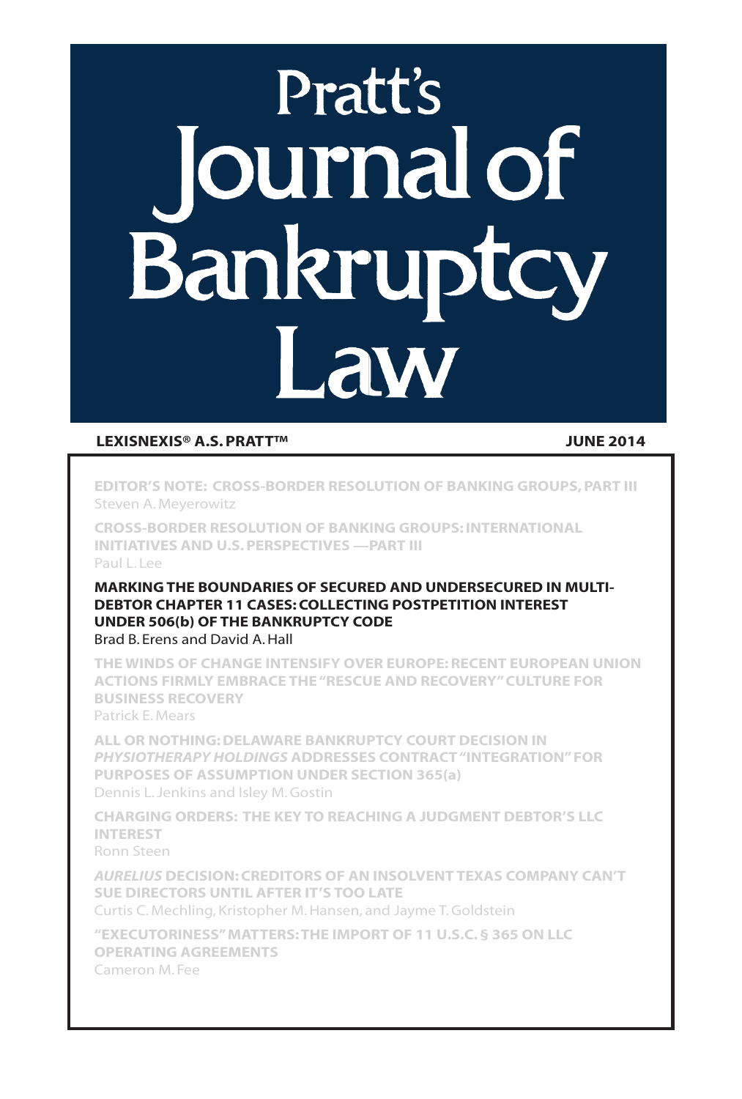# **Pratt's** Journal of Bankruptcy Law

#### LexisNexis® A.S. Pratt™ June 2014

Editor's Note: Cross-Border Resolution of Banking Groups, Part III Steven A. Meyerowitz

Cross-Border Resolution of Banking Groups: International Initiatives and U.S. Perspectives —Part III Paul L. Lee

Marking the Boundaries of Secured and Undersecured in Multi-Debtor Chapter 11 Cases: Collecting Postpetition Interest Under 506(b) of the Bankruptcy Code Brad B. Erens and David A. Hall

The Winds of Change Intensify Over Europe: Recent European Union Actions Firmly Embrace the "Rescue and Recovery" Culture for Business Recovery

Patrick E. Mears

All or Nothing: Delaware Bankruptcy Court Decision in *Physiotherapy Holdings* Addresses Contract "Integration" for Purposes of Assumption Under Section 365(a) Dennis L. Jenkins and Isley M. Gostin

Charging Orders: The Key to Reaching a Judgment Debtor's LLC **INTEREST** 

Ronn Steen

*Aurelius* Decision: Creditors of an Insolvent Texas Company Can't Sue Directors Until After It's Too Late

Curtis C. Mechling, Kristopher M. Hansen, and Jayme T. Goldstein

"Executoriness" Matters: The Import of 11 U.S.C. § 365 on LLC Operating Agreements Cameron M. Fee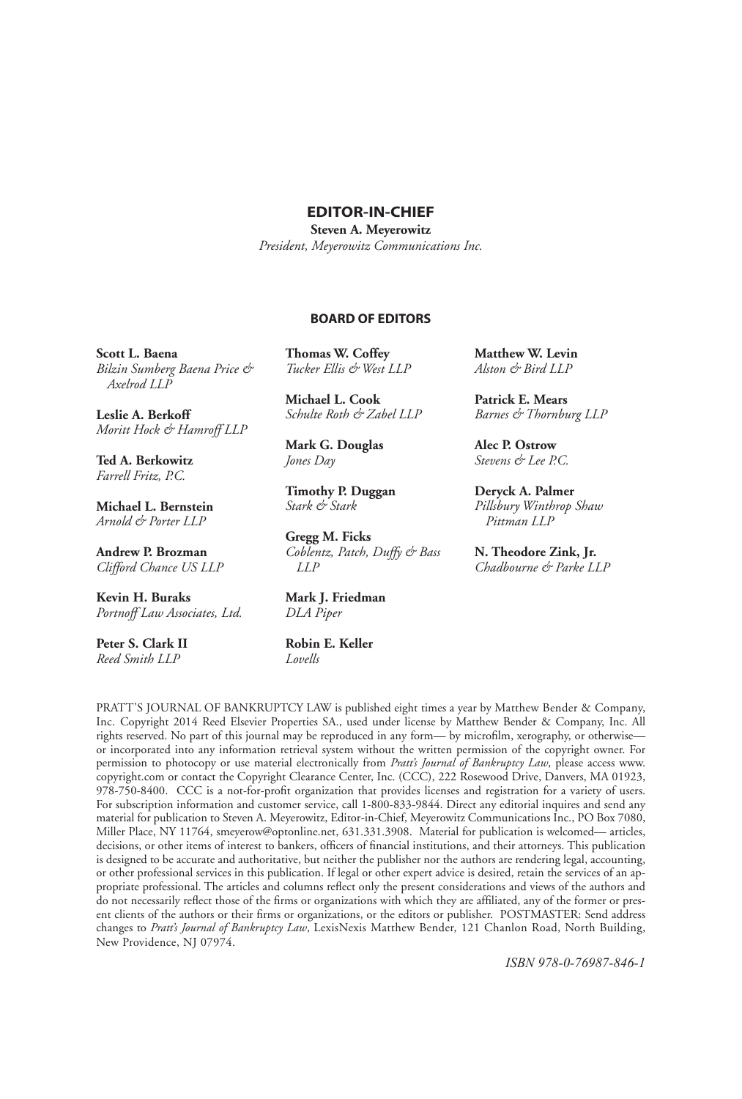#### Editor-in-chief

**Steven A. Meyerowitz**

*President, Meyerowitz Communications Inc.*

#### BOARD OF EDITORS

**Scott L. Baena** *Bilzin Sumberg Baena Price & Axelrod LLP*

**Leslie A. Berkoff** *Moritt Hock & Hamroff LLP*

**Ted A. Berkowitz** *Farrell Fritz, P.C.* 

**Michael L. Bernstein** *Arnold & Porter LLP* 

**Andrew P. Brozman** *Clifford Chance US LLP*

**Kevin H. Buraks** *Portnoff Law Associates, Ltd.*

**Peter S. Clark II**  *Reed Smith LLP*

**Thomas W. Coffey** *Tucker Ellis & West LLP*

**Michael L. Cook** *Schulte Roth & Zabel LLP* 

**Mark G. Douglas** *Jones Day*

**Timothy P. Duggan** *Stark & Stark*

**Gregg M. Ficks** *Coblentz, Patch, Duffy & Bass LLP*

**Mark J. Friedman** *DLA Piper*

**Robin E. Keller** *Lovells*

**Matthew W. Levin** *Alston & Bird LLP*

**Patrick E. Mears**  *Barnes & Thornburg LLP* 

**Alec P. Ostrow** *Stevens & Lee P.C.*

**Deryck A. Palmer** *Pillsbury Winthrop Shaw Pittman LLP* 

**N. Theodore Zink, Jr.** *Chadbourne & Parke LLP*

PRATT'S JOURNAL OF BANKRUPTCY LAW is published eight times a year by Matthew Bender & Company, Inc. Copyright 2014 Reed Elsevier Properties SA., used under license by Matthew Bender & Company, Inc. All rights reserved. No part of this journal may be reproduced in any form— by microfilm, xerography, or otherwise or incorporated into any information retrieval system without the written permission of the copyright owner. For permission to photocopy or use material electronically from *Pratt's Journal of Bankruptcy Law*, please access www. copyright.com or contact the Copyright Clearance Center, Inc. (CCC), 222 Rosewood Drive, Danvers, MA 01923, 978-750-8400. CCC is a not-for-profit organization that provides licenses and registration for a variety of users. For subscription information and customer service, call 1-800-833-9844. Direct any editorial inquires and send any material for publication to Steven A. Meyerowitz, Editor-in-Chief, Meyerowitz Communications Inc., PO Box 7080, Miller Place, NY 11764, smeyerow@optonline.net, 631.331.3908. Material for publication is welcomed— articles, decisions, or other items of interest to bankers, officers of financial institutions, and their attorneys. This publication is designed to be accurate and authoritative, but neither the publisher nor the authors are rendering legal, accounting, or other professional services in this publication. If legal or other expert advice is desired, retain the services of an appropriate professional. The articles and columns reflect only the present considerations and views of the authors and do not necessarily reflect those of the firms or organizations with which they are affiliated, any of the former or present clients of the authors or their firms or organizations, or the editors or publisher. POSTMASTER: Send address changes to *Pratt's Journal of Bankruptcy Law*, LexisNexis Matthew Bender, 121 Chanlon Road, North Building, New Providence, NJ 07974.

*ISBN 978-0-76987-846-1*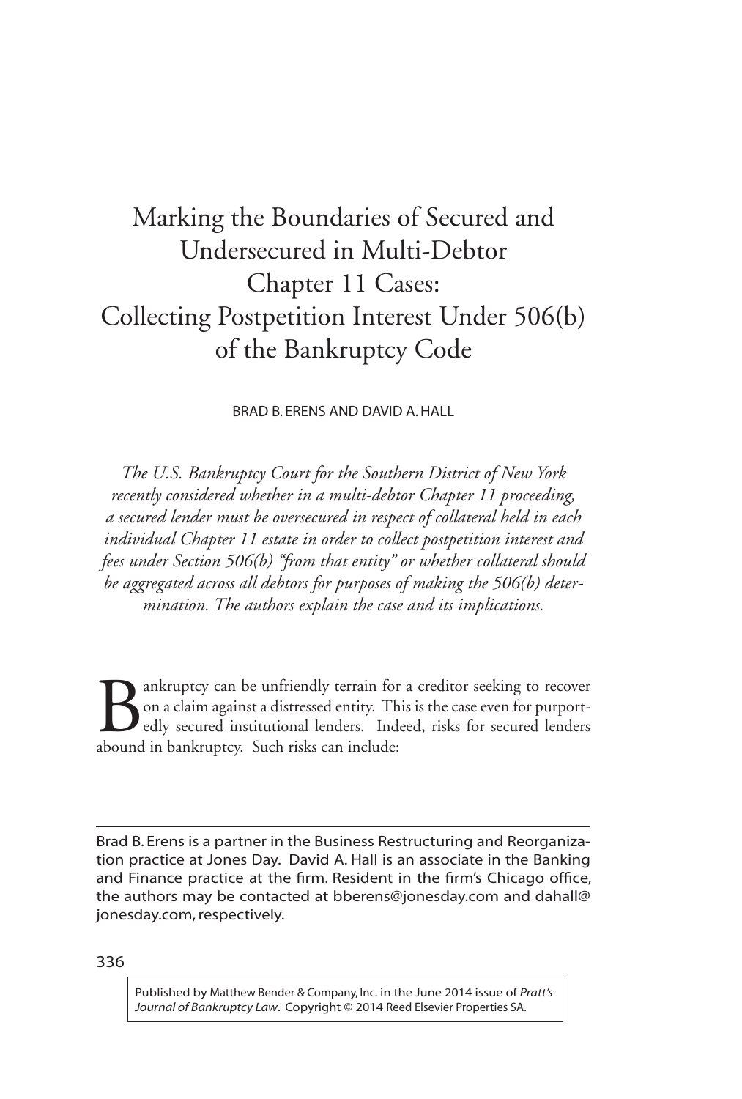# Marking the Boundaries of Secured and Undersecured in Multi-Debtor Chapter 11 Cases: Collecting Postpetition Interest Under 506(b) of the Bankruptcy Code

Brad B. Erens and David A. Hall

*The U.S. Bankruptcy Court for the Southern District of New York recently considered whether in a multi-debtor Chapter 11 proceeding, a secured lender must be oversecured in respect of collateral held in each individual Chapter 11 estate in order to collect postpetition interest and fees under Section 506(b) "from that entity" or whether collateral should be aggregated across all debtors for purposes of making the 506(b) determination. The authors explain the case and its implications.*

Bankruptcy can be unfriendly terrain for a creditor seeking to recover<br>on a claim against a distressed entity. This is the case even for purport-<br>edly secured institutional lenders. Indeed, risks for secured lenders<br>abound on a claim against a distressed entity. This is the case even for purportedly secured institutional lenders. Indeed, risks for secured lenders abound in bankruptcy. Such risks can include:

Brad B. Erens is a partner in the Business Restructuring and Reorganization practice at Jones Day. David A. Hall is an associate in the Banking and Finance practice at the firm. Resident in the firm's Chicago office, the authors may be contacted at bberens@jonesday.com and dahall@ jonesday.com, respectively.

336

Published by Matthew Bender & Company, Inc. in the June 2014 issue of *Pratt's Journal of Bankruptcy Law*. Copyright © 2014 Reed Elsevier Properties SA.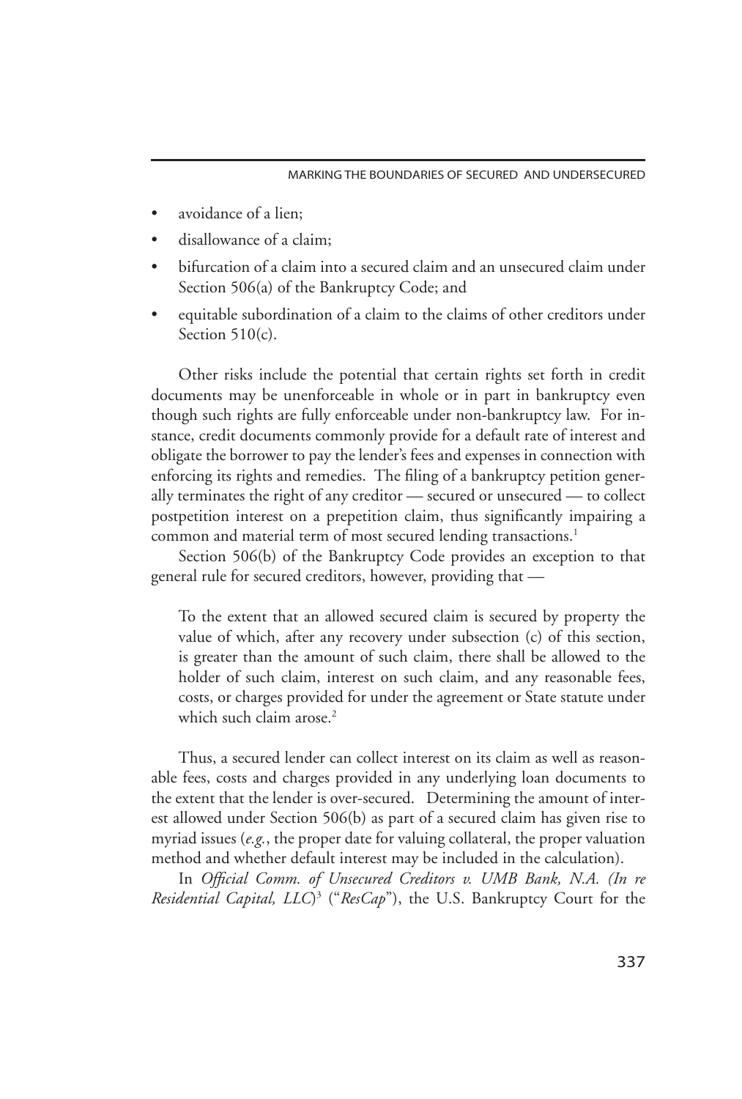- avoidance of a lien;
- disallowance of a claim;
- bifurcation of a claim into a secured claim and an unsecured claim under Section 506(a) of the Bankruptcy Code; and
- equitable subordination of a claim to the claims of other creditors under Section  $510(c)$ .

 Other risks include the potential that certain rights set forth in credit documents may be unenforceable in whole or in part in bankruptcy even though such rights are fully enforceable under non-bankruptcy law. For instance, credit documents commonly provide for a default rate of interest and obligate the borrower to pay the lender's fees and expenses in connection with enforcing its rights and remedies. The filing of a bankruptcy petition generally terminates the right of any creditor — secured or unsecured — to collect postpetition interest on a prepetition claim, thus significantly impairing a common and material term of most secured lending transactions.<sup>1</sup>

Section 506(b) of the Bankruptcy Code provides an exception to that general rule for secured creditors, however, providing that —

 To the extent that an allowed secured claim is secured by property the value of which, after any recovery under subsection (c) of this section, is greater than the amount of such claim, there shall be allowed to the holder of such claim, interest on such claim, and any reasonable fees, costs, or charges provided for under the agreement or State statute under which such claim arose.<sup>2</sup>

 Thus, a secured lender can collect interest on its claim as well as reasonable fees, costs and charges provided in any underlying loan documents to the extent that the lender is over-secured. Determining the amount of interest allowed under Section 506(b) as part of a secured claim has given rise to myriad issues (*e.g.*, the proper date for valuing collateral, the proper valuation method and whether default interest may be included in the calculation).

In *Official Comm. of Unsecured Creditors v. UMB Bank, N.A. (In re Residential Capital, LLC*)<sup>3</sup> ("*ResCap*"), the U.S. Bankruptcy Court for the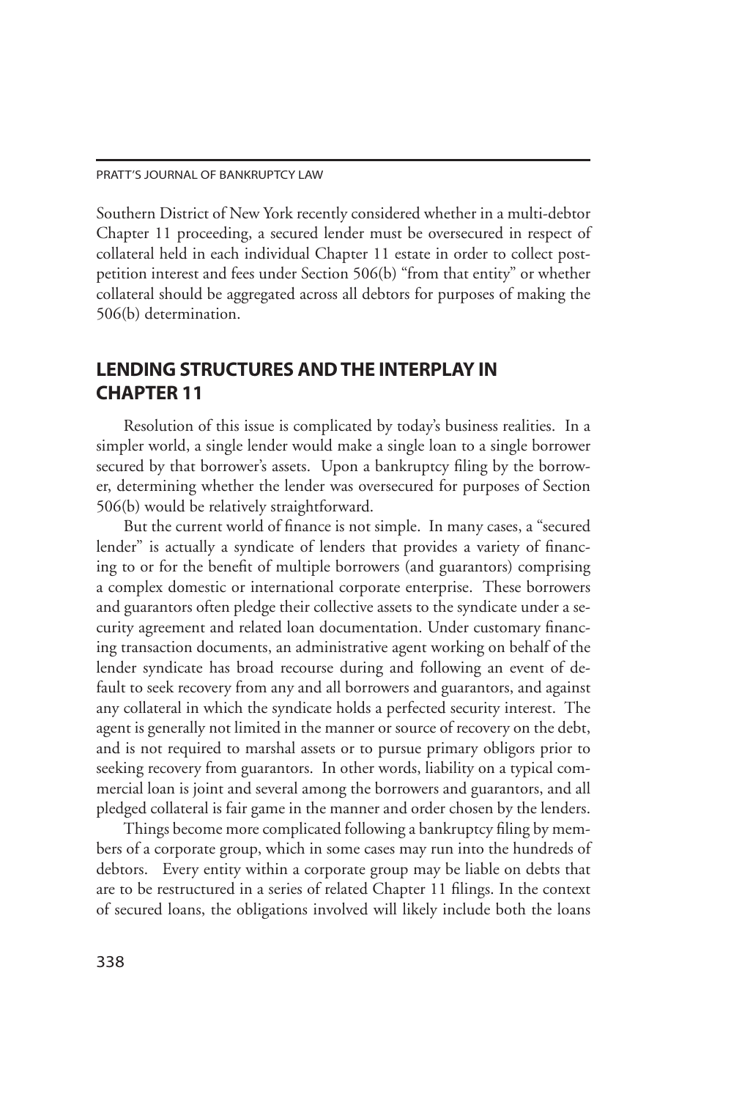Southern District of New York recently considered whether in a multi-debtor Chapter 11 proceeding, a secured lender must be oversecured in respect of collateral held in each individual Chapter 11 estate in order to collect postpetition interest and fees under Section 506(b) "from that entity" or whether collateral should be aggregated across all debtors for purposes of making the 506(b) determination.

# Lending Structures and the Interplay in Chapter 11

 Resolution of this issue is complicated by today's business realities. In a simpler world, a single lender would make a single loan to a single borrower secured by that borrower's assets. Upon a bankruptcy filing by the borrower, determining whether the lender was oversecured for purposes of Section 506(b) would be relatively straightforward.

But the current world of finance is not simple. In many cases, a "secured lender" is actually a syndicate of lenders that provides a variety of financing to or for the benefit of multiple borrowers (and guarantors) comprising a complex domestic or international corporate enterprise. These borrowers and guarantors often pledge their collective assets to the syndicate under a security agreement and related loan documentation. Under customary financing transaction documents, an administrative agent working on behalf of the lender syndicate has broad recourse during and following an event of default to seek recovery from any and all borrowers and guarantors, and against any collateral in which the syndicate holds a perfected security interest. The agent is generally not limited in the manner or source of recovery on the debt, and is not required to marshal assets or to pursue primary obligors prior to seeking recovery from guarantors. In other words, liability on a typical commercial loan is joint and several among the borrowers and guarantors, and all pledged collateral is fair game in the manner and order chosen by the lenders.

 Things become more complicated following a bankruptcy filing by members of a corporate group, which in some cases may run into the hundreds of debtors. Every entity within a corporate group may be liable on debts that are to be restructured in a series of related Chapter 11 filings. In the context of secured loans, the obligations involved will likely include both the loans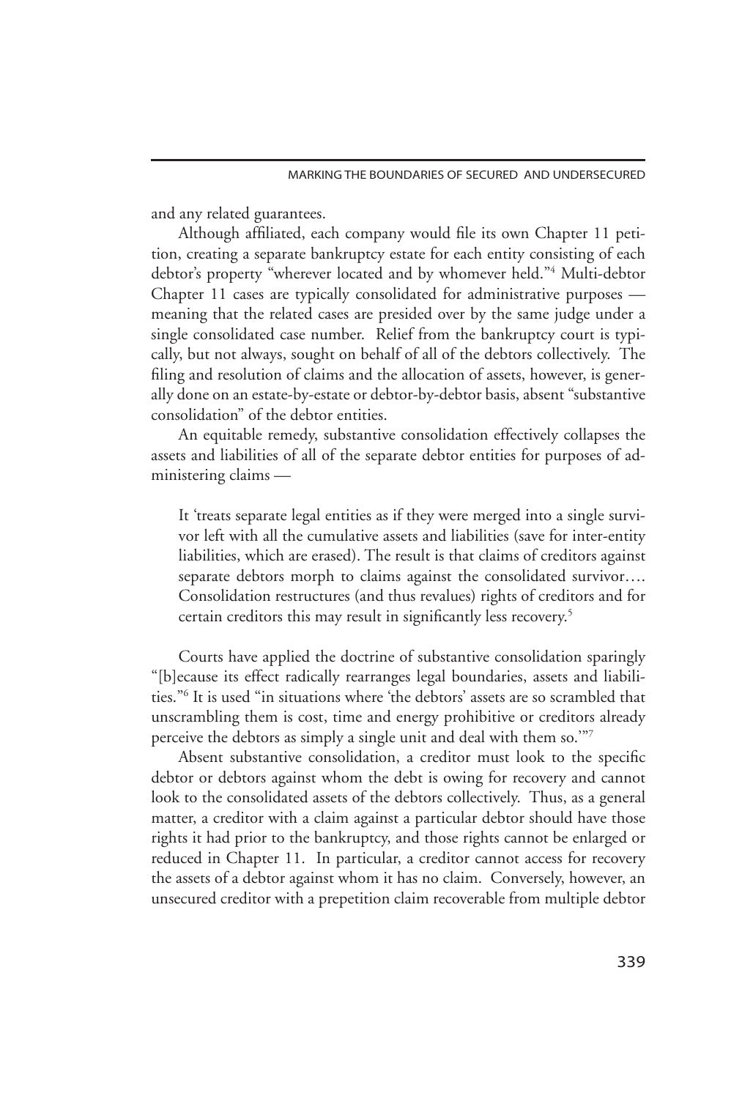and any related guarantees.

 Although affiliated, each company would file its own Chapter 11 petition, creating a separate bankruptcy estate for each entity consisting of each debtor's property "wherever located and by whomever held."4 Multi-debtor Chapter 11 cases are typically consolidated for administrative purposes meaning that the related cases are presided over by the same judge under a single consolidated case number. Relief from the bankruptcy court is typically, but not always, sought on behalf of all of the debtors collectively. The filing and resolution of claims and the allocation of assets, however, is generally done on an estate-by-estate or debtor-by-debtor basis, absent "substantive consolidation" of the debtor entities.

 An equitable remedy, substantive consolidation effectively collapses the assets and liabilities of all of the separate debtor entities for purposes of administering claims —

It 'treats separate legal entities as if they were merged into a single survivor left with all the cumulative assets and liabilities (save for inter-entity liabilities, which are erased). The result is that claims of creditors against separate debtors morph to claims against the consolidated survivor…. Consolidation restructures (and thus revalues) rights of creditors and for certain creditors this may result in significantly less recovery.5

 Courts have applied the doctrine of substantive consolidation sparingly "[b]ecause its effect radically rearranges legal boundaries, assets and liabilities."6 It is used "in situations where 'the debtors' assets are so scrambled that unscrambling them is cost, time and energy prohibitive or creditors already perceive the debtors as simply a single unit and deal with them so.'"7

 Absent substantive consolidation, a creditor must look to the specific debtor or debtors against whom the debt is owing for recovery and cannot look to the consolidated assets of the debtors collectively. Thus, as a general matter, a creditor with a claim against a particular debtor should have those rights it had prior to the bankruptcy, and those rights cannot be enlarged or reduced in Chapter 11. In particular, a creditor cannot access for recovery the assets of a debtor against whom it has no claim. Conversely, however, an unsecured creditor with a prepetition claim recoverable from multiple debtor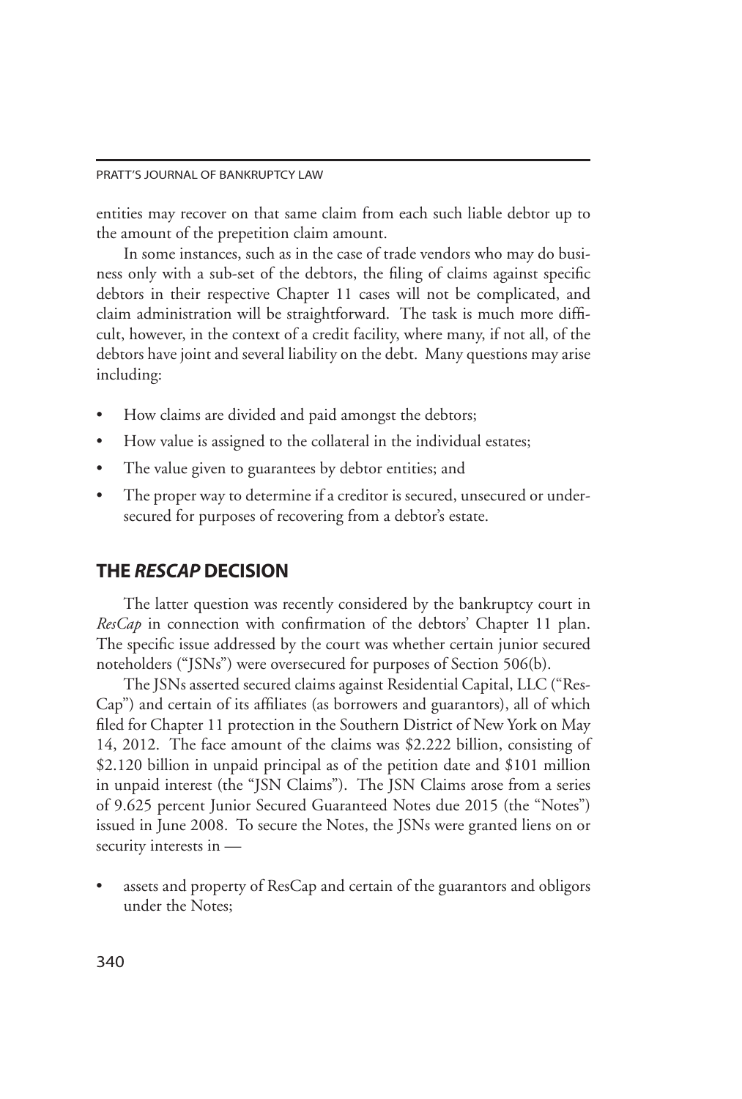entities may recover on that same claim from each such liable debtor up to the amount of the prepetition claim amount.

In some instances, such as in the case of trade vendors who may do business only with a sub-set of the debtors, the filing of claims against specific debtors in their respective Chapter 11 cases will not be complicated, and claim administration will be straightforward. The task is much more difficult, however, in the context of a credit facility, where many, if not all, of the debtors have joint and several liability on the debt. Many questions may arise including:

- How claims are divided and paid amongst the debtors;
- How value is assigned to the collateral in the individual estates;
- The value given to guarantees by debtor entities; and
- The proper way to determine if a creditor is secured, unsecured or undersecured for purposes of recovering from a debtor's estate.

## The *ResCap* Decision

 The latter question was recently considered by the bankruptcy court in *ResCap* in connection with confirmation of the debtors' Chapter 11 plan. The specific issue addressed by the court was whether certain junior secured noteholders ("JSNs") were oversecured for purposes of Section 506(b).

 The JSNs asserted secured claims against Residential Capital, LLC ("Res-Cap") and certain of its affiliates (as borrowers and guarantors), all of which filed for Chapter 11 protection in the Southern District of New York on May 14, 2012. The face amount of the claims was \$2.222 billion, consisting of \$2.120 billion in unpaid principal as of the petition date and \$101 million in unpaid interest (the "JSN Claims"). The JSN Claims arose from a series of 9.625 percent Junior Secured Guaranteed Notes due 2015 (the "Notes") issued in June 2008. To secure the Notes, the JSNs were granted liens on or security interests in —

assets and property of ResCap and certain of the guarantors and obligors under the Notes;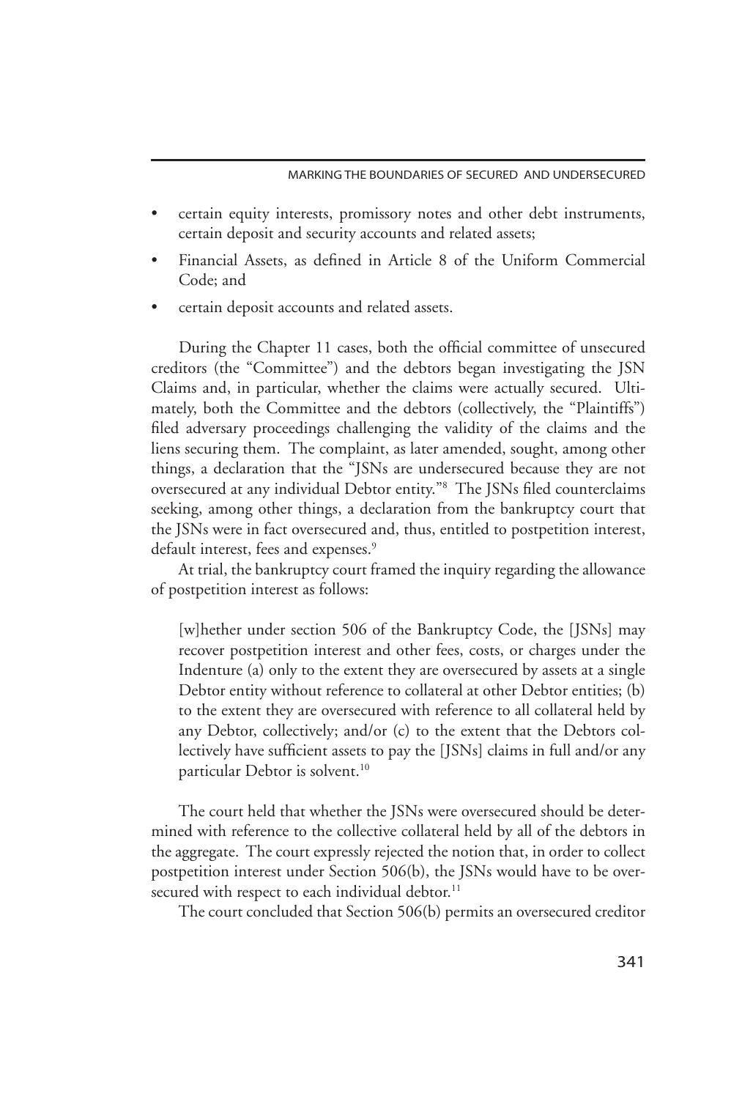- certain equity interests, promissory notes and other debt instruments, certain deposit and security accounts and related assets;
- Financial Assets, as defined in Article 8 of the Uniform Commercial Code; and
- certain deposit accounts and related assets.

During the Chapter 11 cases, both the official committee of unsecured creditors (the "Committee") and the debtors began investigating the JSN Claims and, in particular, whether the claims were actually secured. Ultimately, both the Committee and the debtors (collectively, the "Plaintiffs") filed adversary proceedings challenging the validity of the claims and the liens securing them. The complaint, as later amended, sought, among other things, a declaration that the "JSNs are undersecured because they are not oversecured at any individual Debtor entity."8 The JSNs filed counterclaims seeking, among other things, a declaration from the bankruptcy court that the JSNs were in fact oversecured and, thus, entitled to postpetition interest, default interest, fees and expenses.<sup>9</sup>

 At trial, the bankruptcy court framed the inquiry regarding the allowance of postpetition interest as follows:

[w]hether under section 506 of the Bankruptcy Code, the [JSNs] may recover postpetition interest and other fees, costs, or charges under the Indenture (a) only to the extent they are oversecured by assets at a single Debtor entity without reference to collateral at other Debtor entities; (b) to the extent they are oversecured with reference to all collateral held by any Debtor, collectively; and/or (c) to the extent that the Debtors collectively have sufficient assets to pay the [JSNs] claims in full and/or any particular Debtor is solvent.<sup>10</sup>

 The court held that whether the JSNs were oversecured should be determined with reference to the collective collateral held by all of the debtors in the aggregate. The court expressly rejected the notion that, in order to collect postpetition interest under Section 506(b), the JSNs would have to be oversecured with respect to each individual debtor.<sup>11</sup>

The court concluded that Section 506(b) permits an oversecured creditor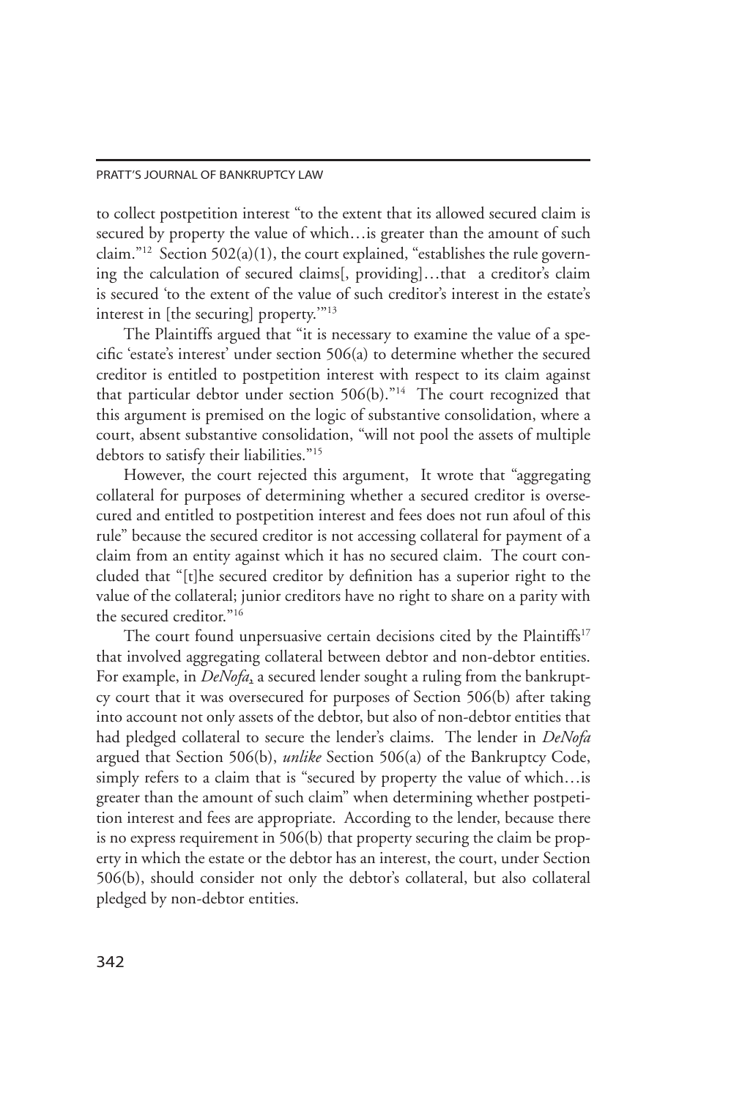to collect postpetition interest "to the extent that its allowed secured claim is secured by property the value of which…is greater than the amount of such claim."<sup>12</sup> Section 502(a)(1), the court explained, "establishes the rule governing the calculation of secured claims[, providing]…that a creditor's claim is secured 'to the extent of the value of such creditor's interest in the estate's interest in [the securing] property.'"13

 The Plaintiffs argued that "it is necessary to examine the value of a specific 'estate's interest' under section 506(a) to determine whether the secured creditor is entitled to postpetition interest with respect to its claim against that particular debtor under section 506(b)."14 The court recognized that this argument is premised on the logic of substantive consolidation, where a court, absent substantive consolidation, "will not pool the assets of multiple debtors to satisfy their liabilities."15

However, the court rejected this argument, It wrote that "aggregating collateral for purposes of determining whether a secured creditor is oversecured and entitled to postpetition interest and fees does not run afoul of this rule" because the secured creditor is not accessing collateral for payment of a claim from an entity against which it has no secured claim. The court concluded that "[t]he secured creditor by definition has a superior right to the value of the collateral; junior creditors have no right to share on a parity with the secured creditor."16

The court found unpersuasive certain decisions cited by the Plaintiffs<sup>17</sup> that involved aggregating collateral between debtor and non-debtor entities. For example, in *DeNofa*, a secured lender sought a ruling from the bankruptcy court that it was oversecured for purposes of Section 506(b) after taking into account not only assets of the debtor, but also of non-debtor entities that had pledged collateral to secure the lender's claims. The lender in *DeNofa* argued that Section 506(b), *unlike* Section 506(a) of the Bankruptcy Code, simply refers to a claim that is "secured by property the value of which…is greater than the amount of such claim" when determining whether postpetition interest and fees are appropriate. According to the lender, because there is no express requirement in 506(b) that property securing the claim be property in which the estate or the debtor has an interest, the court, under Section 506(b), should consider not only the debtor's collateral, but also collateral pledged by non-debtor entities.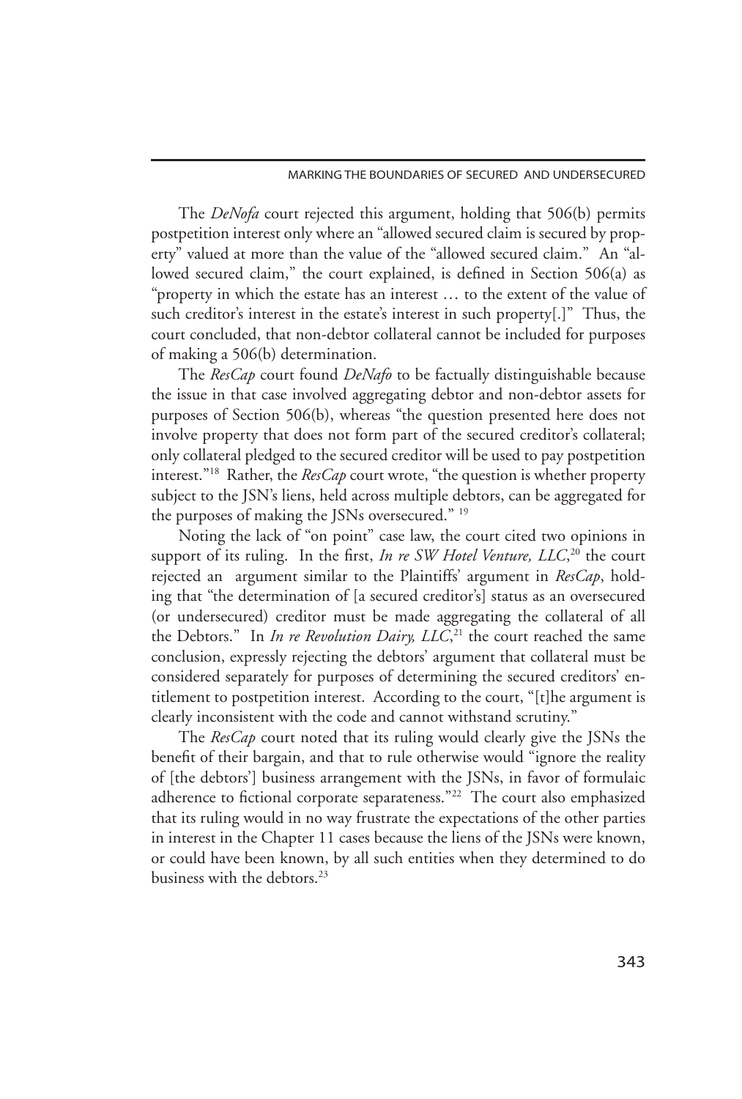The *DeNofa* court rejected this argument, holding that 506(b) permits postpetition interest only where an "allowed secured claim is secured by property" valued at more than the value of the "allowed secured claim." An "allowed secured claim," the court explained, is defined in Section 506(a) as "property in which the estate has an interest … to the extent of the value of such creditor's interest in the estate's interest in such property[.]" Thus, the court concluded, that non-debtor collateral cannot be included for purposes of making a 506(b) determination.

 The *ResCap* court found *DeNafo* to be factually distinguishable because the issue in that case involved aggregating debtor and non-debtor assets for purposes of Section 506(b), whereas "the question presented here does not involve property that does not form part of the secured creditor's collateral; only collateral pledged to the secured creditor will be used to pay postpetition interest."18 Rather, the *ResCap* court wrote, "the question is whether property subject to the JSN's liens, held across multiple debtors, can be aggregated for the purposes of making the JSNs oversecured." 19

 Noting the lack of "on point" case law, the court cited two opinions in support of its ruling. In the first, *In re SW Hotel Venture, LLC*, 20 the court rejected an argument similar to the Plaintiffs' argument in *ResCap*, holding that "the determination of [a secured creditor's] status as an oversecured (or undersecured) creditor must be made aggregating the collateral of all the Debtors." In *In re Revolution Dairy, LLC*, 21 the court reached the same conclusion, expressly rejecting the debtors' argument that collateral must be considered separately for purposes of determining the secured creditors' entitlement to postpetition interest. According to the court, "[t]he argument is clearly inconsistent with the code and cannot withstand scrutiny."

 The *ResCap* court noted that its ruling would clearly give the JSNs the benefit of their bargain, and that to rule otherwise would "ignore the reality of [the debtors'] business arrangement with the JSNs, in favor of formulaic adherence to fictional corporate separateness."22 The court also emphasized that its ruling would in no way frustrate the expectations of the other parties in interest in the Chapter 11 cases because the liens of the JSNs were known, or could have been known, by all such entities when they determined to do business with the debtors.<sup>23</sup>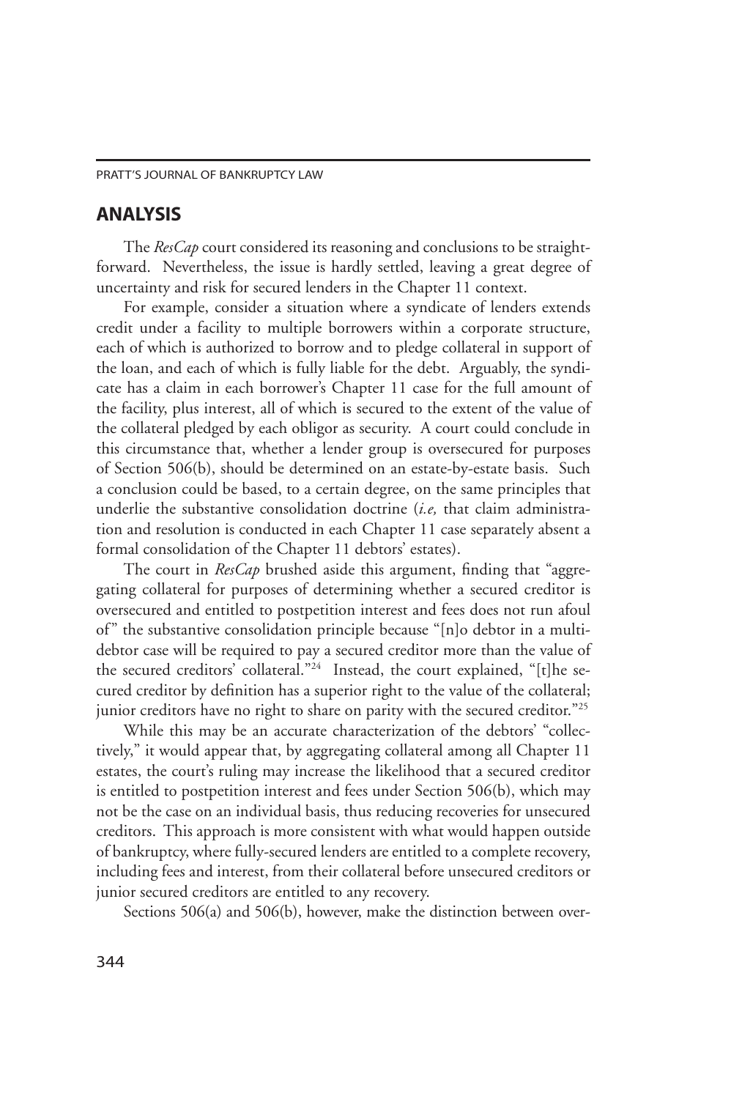#### Analysis

 The *ResCap* court considered its reasoning and conclusions to be straightforward. Nevertheless, the issue is hardly settled, leaving a great degree of uncertainty and risk for secured lenders in the Chapter 11 context.

 For example, consider a situation where a syndicate of lenders extends credit under a facility to multiple borrowers within a corporate structure, each of which is authorized to borrow and to pledge collateral in support of the loan, and each of which is fully liable for the debt. Arguably, the syndicate has a claim in each borrower's Chapter 11 case for the full amount of the facility, plus interest, all of which is secured to the extent of the value of the collateral pledged by each obligor as security. A court could conclude in this circumstance that, whether a lender group is oversecured for purposes of Section 506(b), should be determined on an estate-by-estate basis. Such a conclusion could be based, to a certain degree, on the same principles that underlie the substantive consolidation doctrine (*i.e,* that claim administration and resolution is conducted in each Chapter 11 case separately absent a formal consolidation of the Chapter 11 debtors' estates).

 The court in *ResCap* brushed aside this argument, finding that "aggregating collateral for purposes of determining whether a secured creditor is oversecured and entitled to postpetition interest and fees does not run afoul of" the substantive consolidation principle because "[n]o debtor in a multidebtor case will be required to pay a secured creditor more than the value of the secured creditors' collateral."24 Instead, the court explained, "[t]he secured creditor by definition has a superior right to the value of the collateral; junior creditors have no right to share on parity with the secured creditor."<sup>25</sup>

 While this may be an accurate characterization of the debtors' "collectively," it would appear that, by aggregating collateral among all Chapter 11 estates, the court's ruling may increase the likelihood that a secured creditor is entitled to postpetition interest and fees under Section 506(b), which may not be the case on an individual basis, thus reducing recoveries for unsecured creditors. This approach is more consistent with what would happen outside of bankruptcy, where fully-secured lenders are entitled to a complete recovery, including fees and interest, from their collateral before unsecured creditors or junior secured creditors are entitled to any recovery.

Sections 506(a) and 506(b), however, make the distinction between over-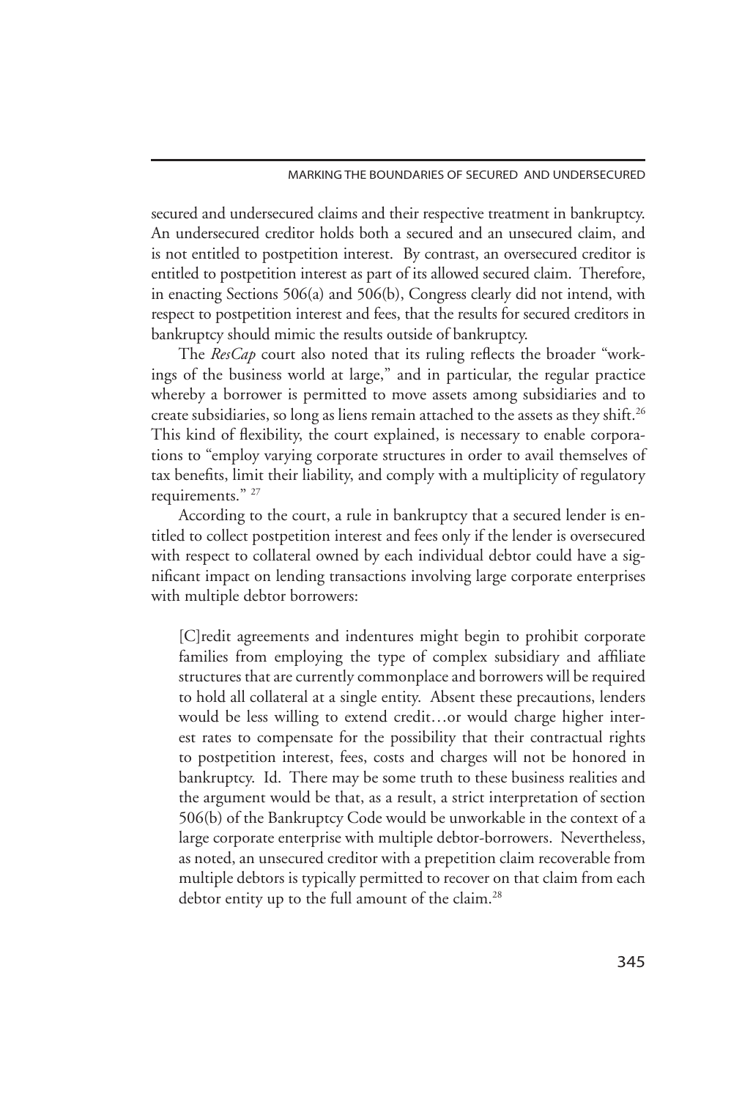secured and undersecured claims and their respective treatment in bankruptcy. An undersecured creditor holds both a secured and an unsecured claim, and is not entitled to postpetition interest. By contrast, an oversecured creditor is entitled to postpetition interest as part of its allowed secured claim. Therefore, in enacting Sections 506(a) and 506(b), Congress clearly did not intend, with respect to postpetition interest and fees, that the results for secured creditors in bankruptcy should mimic the results outside of bankruptcy.

 The *ResCap* court also noted that its ruling reflects the broader "workings of the business world at large," and in particular, the regular practice whereby a borrower is permitted to move assets among subsidiaries and to create subsidiaries, so long as liens remain attached to the assets as they shift.26 This kind of flexibility, the court explained, is necessary to enable corporations to "employ varying corporate structures in order to avail themselves of tax benefits, limit their liability, and comply with a multiplicity of regulatory requirements." <sup>27</sup>

 According to the court, a rule in bankruptcy that a secured lender is entitled to collect postpetition interest and fees only if the lender is oversecured with respect to collateral owned by each individual debtor could have a significant impact on lending transactions involving large corporate enterprises with multiple debtor borrowers:

[C]redit agreements and indentures might begin to prohibit corporate families from employing the type of complex subsidiary and affiliate structures that are currently commonplace and borrowers will be required to hold all collateral at a single entity. Absent these precautions, lenders would be less willing to extend credit…or would charge higher interest rates to compensate for the possibility that their contractual rights to postpetition interest, fees, costs and charges will not be honored in bankruptcy. Id. There may be some truth to these business realities and the argument would be that, as a result, a strict interpretation of section 506(b) of the Bankruptcy Code would be unworkable in the context of a large corporate enterprise with multiple debtor-borrowers. Nevertheless, as noted, an unsecured creditor with a prepetition claim recoverable from multiple debtors is typically permitted to recover on that claim from each debtor entity up to the full amount of the claim.<sup>28</sup>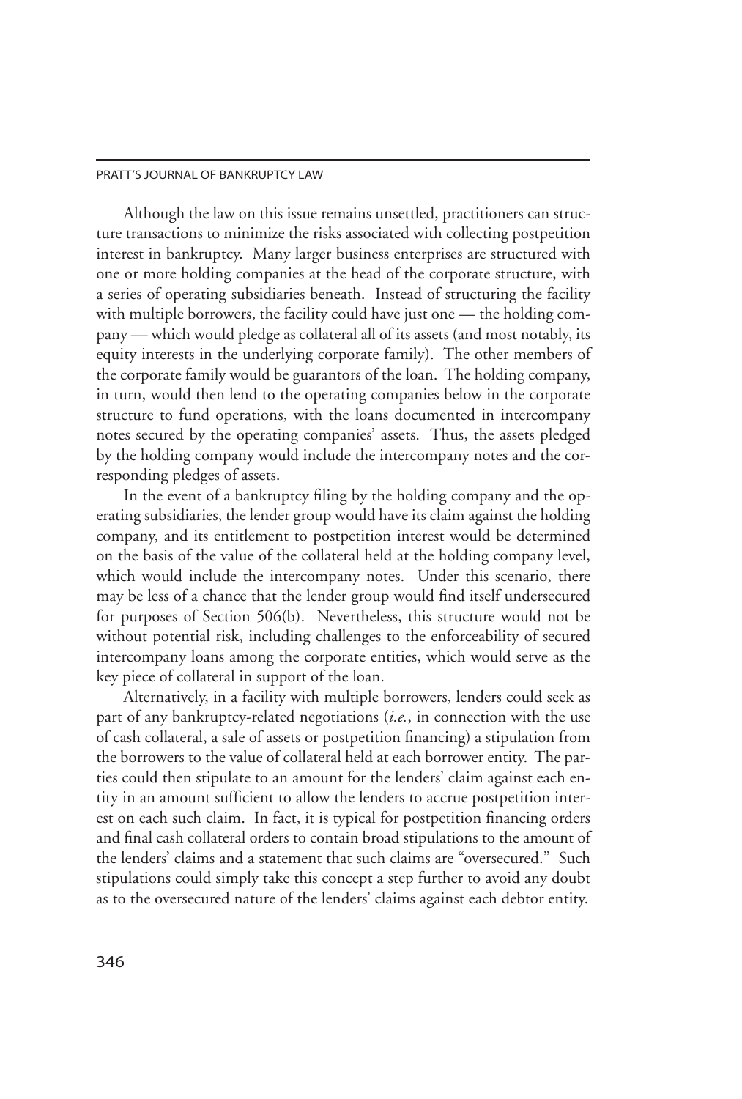Although the law on this issue remains unsettled, practitioners can structure transactions to minimize the risks associated with collecting postpetition interest in bankruptcy. Many larger business enterprises are structured with one or more holding companies at the head of the corporate structure, with a series of operating subsidiaries beneath. Instead of structuring the facility with multiple borrowers, the facility could have just one — the holding company — which would pledge as collateral all of its assets (and most notably, its equity interests in the underlying corporate family). The other members of the corporate family would be guarantors of the loan. The holding company, in turn, would then lend to the operating companies below in the corporate structure to fund operations, with the loans documented in intercompany notes secured by the operating companies' assets. Thus, the assets pledged by the holding company would include the intercompany notes and the corresponding pledges of assets.

In the event of a bankruptcy filing by the holding company and the operating subsidiaries, the lender group would have its claim against the holding company, and its entitlement to postpetition interest would be determined on the basis of the value of the collateral held at the holding company level, which would include the intercompany notes. Under this scenario, there may be less of a chance that the lender group would find itself undersecured for purposes of Section 506(b). Nevertheless, this structure would not be without potential risk, including challenges to the enforceability of secured intercompany loans among the corporate entities, which would serve as the key piece of collateral in support of the loan.

 Alternatively, in a facility with multiple borrowers, lenders could seek as part of any bankruptcy-related negotiations (*i.e.*, in connection with the use of cash collateral, a sale of assets or postpetition financing) a stipulation from the borrowers to the value of collateral held at each borrower entity. The parties could then stipulate to an amount for the lenders' claim against each entity in an amount sufficient to allow the lenders to accrue postpetition interest on each such claim. In fact, it is typical for postpetition financing orders and final cash collateral orders to contain broad stipulations to the amount of the lenders' claims and a statement that such claims are "oversecured." Such stipulations could simply take this concept a step further to avoid any doubt as to the oversecured nature of the lenders' claims against each debtor entity.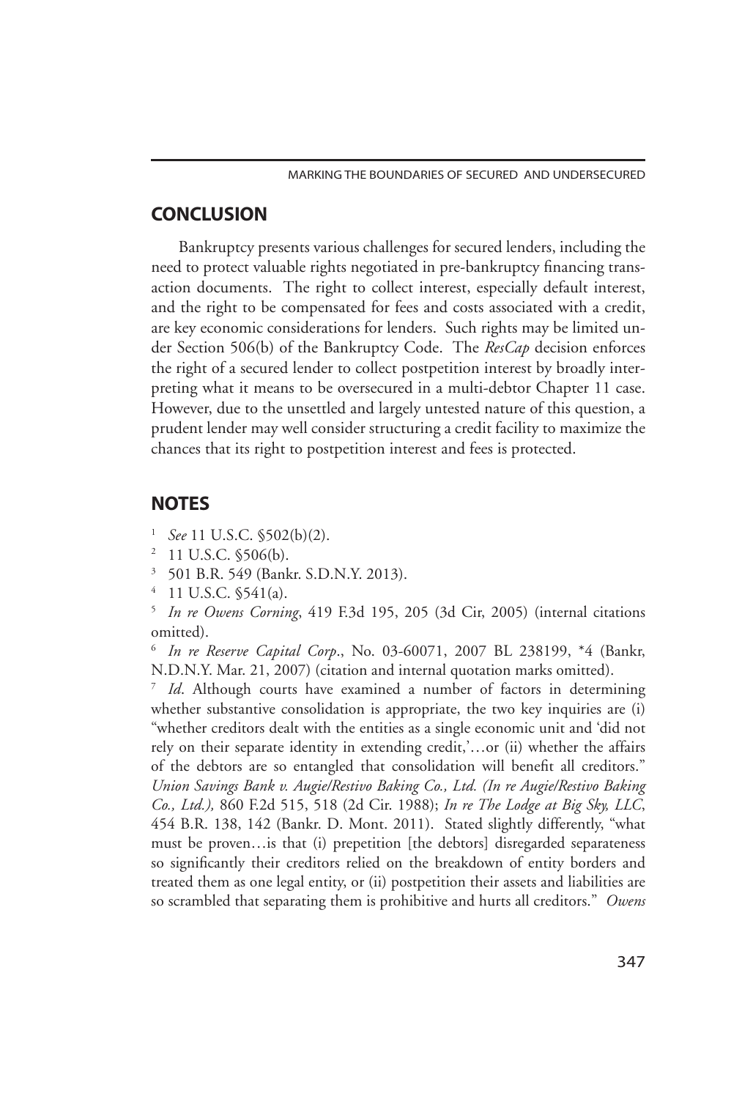### **CONCLUSION**

Bankruptcy presents various challenges for secured lenders, including the need to protect valuable rights negotiated in pre-bankruptcy financing transaction documents. The right to collect interest, especially default interest, and the right to be compensated for fees and costs associated with a credit, are key economic considerations for lenders. Such rights may be limited under Section 506(b) of the Bankruptcy Code. The *ResCap* decision enforces the right of a secured lender to collect postpetition interest by broadly interpreting what it means to be oversecured in a multi-debtor Chapter 11 case. However, due to the unsettled and largely untested nature of this question, a prudent lender may well consider structuring a credit facility to maximize the chances that its right to postpetition interest and fees is protected.

# **NOTES**

- <sup>1</sup> *See* 11 U.S.C. §502(b)(2).
- <sup>2</sup> 11 U.S.C. §506(b).
- <sup>3</sup> 501 B.R. 549 (Bankr. S.D.N.Y. 2013).
- 
- <sup>4</sup> 11 U.S.C. §541(a). 5 *In re Owens Corning*, 419 F.3d 195, 205 (3d Cir, 2005) (internal citations omitted).

<sup>6</sup> *In re Reserve Capital Corp*., No. 03-60071, 2007 BL 238199, \*4 (Bankr, N.D.N.Y. Mar. 21, 2007) (citation and internal quotation marks omitted). 7 *Id*. Although courts have examined a number of factors in determining

whether substantive consolidation is appropriate, the two key inquiries are (i) "whether creditors dealt with the entities as a single economic unit and 'did not rely on their separate identity in extending credit,'…or (ii) whether the affairs of the debtors are so entangled that consolidation will benefit all creditors." *Union Savings Bank v. Augie/Restivo Baking Co., Ltd. (In re Augie/Restivo Baking Co., Ltd.),* 860 F.2d 515, 518 (2d Cir. 1988); *In re The Lodge at Big Sky, LLC*, 454 B.R. 138, 142 (Bankr. D. Mont. 2011). Stated slightly differently, "what must be proven…is that (i) prepetition [the debtors] disregarded separateness so significantly their creditors relied on the breakdown of entity borders and treated them as one legal entity, or (ii) postpetition their assets and liabilities are so scrambled that separating them is prohibitive and hurts all creditors." *Owens*